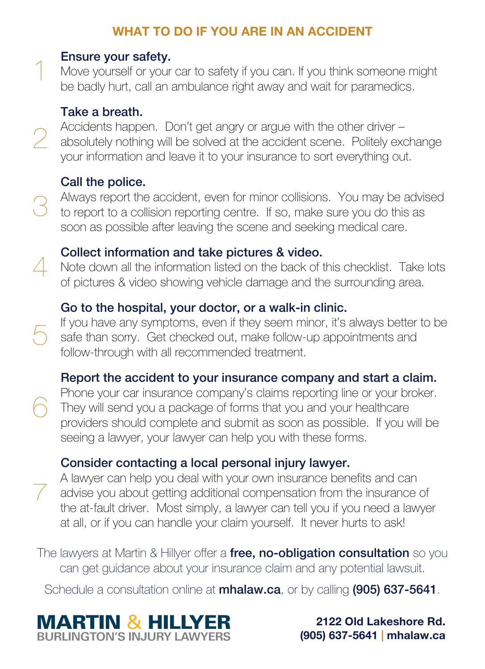# **WHAT TO DO IF YOU ARE IN AN ACCIDENT**

#### Ensure your safety.

Move yourself or your car to safety if you can. If you think someone might be badly hurt, call an ambulance right away and wait for paramedics.

#### Take a breath.

1

 $\mathcal{P}$ 

 $\angle$ 

5

6

7

Accidents happen. Don't get angry or argue with the other driver – absolutely nothing will be solved at the accident scene. Politely exchange your information and leave it to your insurance to sort everything out.

## Call the police.

Always report the accident, even for minor collisions. You may be advised to report to a collision reporting centre. If so, make sure you do this as soon as possible after leaving the scene and seeking medical care. 3

### Collect information and take pictures & video.

Note down all the information listed on the back of this checklist. Take lots of pictures & video showing vehicle damage and the surrounding area.

## Go to the hospital, your doctor, or a walk-in clinic.

If you have any symptoms, even if they seem minor, it's always better to be safe than sorry. Get checked out, make follow-up appointments and follow-through with all recommended treatment.

## Report the accident to your insurance company and start a claim.

Phone your car insurance company's claims reporting line or your broker. They will send you a package of forms that you and your healthcare providers should complete and submit as soon as possible. If you will be seeing a lawyer, your lawyer can help you with these forms.

## Consider contacting a local personal injury lawyer.

A lawyer can help you deal with your own insurance benefits and can advise you about getting additional compensation from the insurance of the at-fault driver. Most simply, a lawyer can tell you if you need a lawyer at all, or if you can handle your claim yourself. It never hurts to ask!

The lawyers at Martin & Hillyer offer a free, no-obligation consultation so you can get guidance about your insurance claim and any potential lawsuit.

Schedule a consultation online at **mhalaw.ca**, or by calling (905) 637-5641.



**2122 Old Lakeshore Rd. (905) 637-5641 | mhalaw.ca**